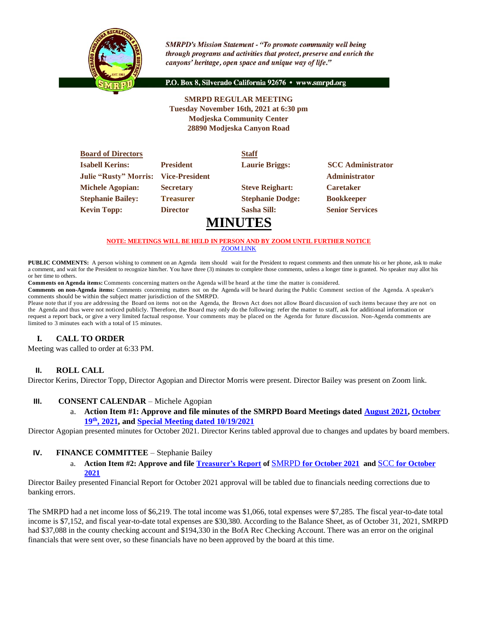

**SMRPD's Mission Statement - "To promote community well being** through programs and activities that protect, preserve and enrich the canyons' heritage, open space and unique way of life."

P.O. Box 8, Silverado California 92676 · www.smrpd.org

## **SMRPD REGULAR MEETING Tuesday November 16th, 2021 at 6:30 pm Modjeska Community Center 28890 Modjeska Canyon Road**

| <b>Board of Directors</b>    |                       | <b>Staff</b>            |                          |
|------------------------------|-----------------------|-------------------------|--------------------------|
| <b>Isabell Kerins:</b>       | <b>President</b>      | <b>Laurie Briggs:</b>   | <b>SCC</b> Administrator |
| <b>Julie "Rusty" Morris:</b> | <b>Vice-President</b> |                         | <b>Administrator</b>     |
| <b>Michele Agopian:</b>      | <b>Secretary</b>      | <b>Steve Reighart:</b>  | <b>Caretaker</b>         |
| <b>Stephanie Bailey:</b>     | <b>Treasurer</b>      | <b>Stephanie Dodge:</b> | <b>Bookkeeper</b>        |
| <b>Kevin Topp:</b>           | <b>Director</b>       | Sasha Sill:             | <b>Senior Services</b>   |
|                              |                       | <b>MINUTES</b>          |                          |

#### **NOTE: MEETINGS WILL BE HELD IN PERSON AND BY ZOOM UNTIL FURTHER NOTICE** [ZOOM LINK](https://zoom.us/j/99049794367)

**PUBLIC COMMENTS:** A person wishing to comment on an Agenda item should wait for the President to request comments and then unmute his or her phone, ask to make a comment, and wait for the President to recognize him/her. You have three (3) minutes to complete those comments, unless a longer time is granted. No speaker may allot his or her time to others.

**Comments on Agenda items:** Comments concerning matters on the Agenda will be heard at the time the matter is considered.

**Comments on non-Agenda items:** Comments concerning matters not on the Agenda will be heard during the Public Comment section of the Agenda. A speaker's comments should be within the subject matter jurisdiction of the SMRPD.

Please note that if you are addressing the Board on items not on the Agenda, the Brown Act does not allow Board discussion of such items because they are not on the Agenda and thus were not noticed publicly. Therefore, the Board may only do the following: refer the matter to staff, ask for additional information or request a report back, or give a very limited factual response. Your comments may be placed on the Agenda for future discussion. Non-Agenda comments are limited to 3 minutes each with a total of 15 minutes.

# **I. CALL TO ORDER**

Meeting was called to order at 6:33 PM.

## **II. ROLL CALL**

Director Kerins, Director Topp, Director Agopian and Director Morris were present. Director Bailey was present on Zoom link.

#### **III. CONSENT CALENDAR** – Michele Agopian

a. **Action Item #1: Approve and file minutes of the SMRPD Board Meetings dated [August 2021,](https://1drv.ms/b/s!An_OKisCbP0FjgbOWxfKv8gMl0ZG?e=xSa0c3) [October](https://1drv.ms/b/s!An_OKisCbP0FjhEwvRhqhgsfu7y0?e=pUbXYg)  19th[, 2021,](https://1drv.ms/b/s!An_OKisCbP0FjhEwvRhqhgsfu7y0?e=pUbXYg) and [Special Meeting dated 10/19/2021](https://1drv.ms/b/s!An_OKisCbP0FjhDbO80xmVazTAaP?e=dGgqnY)**

Director Agopian presented minutes for October 2021. Director Kerins tabled approval due to changes and updates by board members.

#### **IV. FINANCE COMMITTEE** – Stephanie Bailey

a. **Action Item #2: Approve and file [Treasurer's Report](https://onedrive.live.com/edit.aspx?cid=05fd6c022b2ace7f&page=view&resid=5FD6C022B2ACE7F!2828&parId=5FD6C022B2ACE7F!2607&app=Word) of** [SMRPD](https://onedrive.live.com/edit.aspx?cid=05fd6c022b2ace7f&page=view&resid=5FD6C022B2ACE7F!2828&parId=5FD6C022B2ACE7F!2607&app=Word) **[for October 2021](https://onedrive.live.com/edit.aspx?cid=05fd6c022b2ace7f&page=view&resid=5FD6C022B2ACE7F!2828&parId=5FD6C022B2ACE7F!2607&app=Word) and** SCC **[for October](https://onedrive.live.com/?cid=05FD6C022B2ACE7F&id=5FD6C022B2ACE7F%212730&parId=5FD6C022B2ACE7F%212830&o=OneUp)  [2021](https://onedrive.live.com/?cid=05FD6C022B2ACE7F&id=5FD6C022B2ACE7F%212730&parId=5FD6C022B2ACE7F%212830&o=OneUp)**

Director Bailey presented Financial Report for October 2021 approval will be tabled due to financials needing corrections due to banking errors.

The SMRPD had a net income loss of \$6,219. The total income was \$1,066, total expenses were \$7,285. The fiscal year-to-date total income is \$7,152, and fiscal year-to-date total expenses are \$30,380. According to the Balance Sheet, as of October 31, 2021, SMRPD had \$37,088 in the county checking account and \$194,330 in the BofA Rec Checking Account. There was an error on the original financials that were sent over, so these financials have no been approved by the board at this time.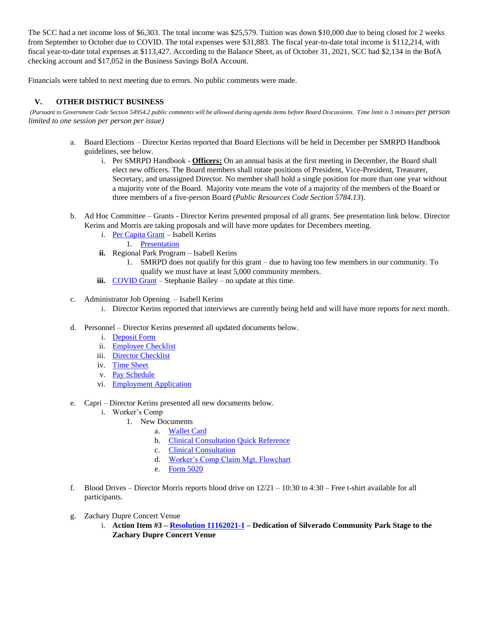The SCC had a net income loss of \$6,303. The total income was \$25,579. Tuition was down \$10,000 due to being closed for 2 weeks from September to October due to COVID. The total expenses were \$31,883. The fiscal year-to-date total income is \$112,214, with fiscal year-to-date total expenses at \$113,427. According to the Balance Sheet, as of October 31, 2021, SCC had \$2,134 in the BofA checking account and \$17,052 in the Business Savings BofA Account.

Financials were tabled to next meeting due to errors. No public comments were made.

#### **V. OTHER DISTRICT BUSINESS**

(Pursuant to Government Code Section 54954.2 public comments will be allowed during agenda items before Board Discussions. Time limit is 3 minutes *per person limited to one session per person per issue)*

- a. Board Elections Director Kerins reported that Board Elections will be held in December per SMRPD Handbook guidelines, see below.
	- i. Per SMRPD Handbook **Officers:** On an annual basis at the first meeting in December, the Board shall elect new officers. The Board members shall rotate positions of President, Vice-President, Treasurer, Secretary, and unassigned Director. No member shall hold a single position for more than one year without a majority vote of the Board. Majority vote means the vote of a majority of the members of the Board or three members of a five-person Board (*Public Resources Code Section 5784.13*).
- b. Ad Hoc Committee Grants Director Kerins presented proposal of all grants. See presentation link below. Director Kerins and Morris are taking proposals and will have more updates for Decembers meeting.
	- i. [Per Capita Grant](https://www.parks.ca.gov/?page_id=30095) Isabell Kerins
		- 1. [Presentation](https://1drv.ms/b/s!An_OKisCbP0Fjj22b4auENmRkvDS?e=K9Q1sC)
	- **ii.** Regional Park Program Isabell Kerins
		- 1. SMRPD does not qualify for this grant due to having too few members in our community. To qualify we must have at least 5,000 community members.
	- **iii.** [COVID Grant](https://www.csda.net/advocate/take-action/covid) Stephanie Bailey no update at this time.
- c. Administrator Job Opening Isabell Kerins
	- i. Director Kerins reported that interviews are currently being held and will have more reports for next month.
- d. Personnel Director Kerins presented all updated documents below.
	- i. [Deposit Form](https://1drv.ms/b/s!An_OKisCbP0FjXQpAoheTkNQdqZ1?e=2s2bCS)
	- ii. [Employee Checklist](https://1drv.ms/b/s!An_OKisCbP0FlGXI3JQExuQquv1G?e=eJ2cV6)
	- iii. [Director Checklist](https://1drv.ms/b/s!An_OKisCbP0FlGS7hgTRjwJbJeGB?e=bgxLUS)
	- iv. [Time Sheet](https://1drv.ms/w/s!An_OKisCbP0FlFmtlCEO1AuEr9-e?e=yatmSJ)
	- v. [Pay Schedule](https://1drv.ms/b/s!An_OKisCbP0FlDp1bqxK8Icr3JOH?e=WZDTy3)
	- vi. [Employment Application](https://1drv.ms/b/s!An_OKisCbP0FlDJaFJaVJLbt2Mq6?e=EHynFS)
- e. Capri Director Kerins presented all new documents below.
	- i. Worker's Comp
		- 1. New Documents
			- a. [Wallet Card](https://1drv.ms/b/s!An_OKisCbP0FlFY5E1Glx2vXfXA8?e=NFFUMa)
			- b. [Clinical Consultation Quick Reference](https://1drv.ms/b/s!An_OKisCbP0FlFd0v-ms5DCvo853?e=ltpN2p)
			- c. [Clinical Consultation](https://1drv.ms/b/s!An_OKisCbP0FlFRcanfOgNgenLkw?e=d8Iggo)
			- d. [Worker's Comp Claim Mgt. Flowchart](https://1drv.ms/b/s!An_OKisCbP0FlFh6A8204GsjVmC0?e=juDRsd)
			- e. [Form 5020](https://1drv.ms/b/s!An_OKisCbP0FlFUcNrEBV-qw-PQO?e=ywDwiw)
- f. Blood Drives Director Morris reports blood drive on 12/21 10:30 to 4:30 Free t-shirt available for all participants.
- g. Zachary Dupre Concert Venue
	- i. **Action Item #3 – [Resolution 11162021-1](https://1drv.ms/b/s!An_OKisCbP0FlFKjC4hrHjeLimRH?e=V12vow) – Dedication of Silverado Community Park Stage to the Zachary Dupre Concert Venue**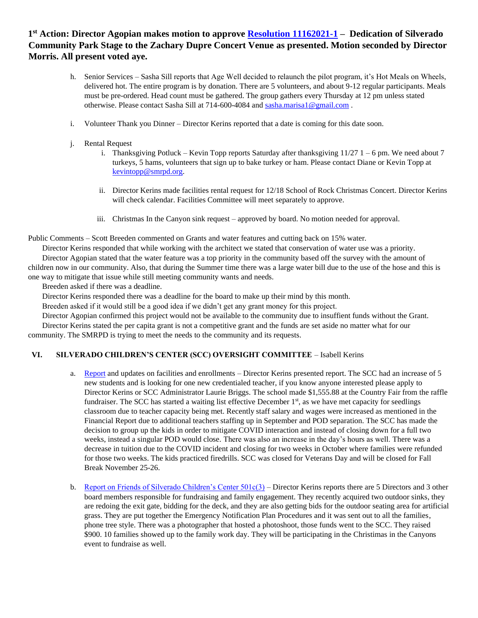# **1 st Action: Director Agopian makes motion to approve [Resolution 11162021-1](https://1drv.ms/b/s!An_OKisCbP0FlFKjC4hrHjeLimRH?e=V12vow) – Dedication of Silverado Community Park Stage to the Zachary Dupre Concert Venue as presented. Motion seconded by Director Morris. All present voted aye.**

- h. Senior Services Sasha Sill reports that Age Well decided to relaunch the pilot program, it's Hot Meals on Wheels, delivered hot. The entire program is by donation. There are 5 volunteers, and about 9-12 regular participants. Meals must be pre-ordered. Head count must be gathered. The group gathers every Thursday at 12 pm unless stated otherwise. Please contact Sasha Sill at 714-600-4084 an[d sasha.marisa1@gmail.com](mailto:sasha.marisa1@gmail.com) .
- i. Volunteer Thank you Dinner Director Kerins reported that a date is coming for this date soon.
- j. Rental Request
	- i. Thanksgiving Potluck Kevin Topp reports Saturday after thanksgiving  $11/27$  1 6 pm. We need about 7 turkeys, 5 hams, volunteers that sign up to bake turkey or ham. Please contact Diane or Kevin Topp at [kevintopp@smrpd.org.](mailto:kevintopp@smrpd.org)
	- ii. Director Kerins made facilities rental request for 12/18 School of Rock Christmas Concert. Director Kerins will check calendar. Facilities Committee will meet separately to approve.
	- iii. Christmas In the Canyon sink request approved by board. No motion needed for approval.

Public Comments – Scott Breeden commented on Grants and water features and cutting back on 15% water.

Director Kerins responded that while working with the architect we stated that conservation of water use was a priority. Director Agopian stated that the water feature was a top priority in the community based off the survey with the amount of children now in our community. Also, that during the Summer time there was a large water bill due to the use of the hose and this is one way to mitigate that issue while still meeting community wants and needs.

Breeden asked if there was a deadline.

Director Kerins responded there was a deadline for the board to make up their mind by this month.

Breeden asked if it would still be a good idea if we didn't get any grant money for this project.

Director Agopian confirmed this project would not be available to the community due to insuffient funds without the Grant.

Director Kerins stated the per capita grant is not a competitive grant and the funds are set aside no matter what for our community. The SMRPD is trying to meet the needs to the community and its requests.

#### **VI. SILVERADO CHILDREN'S CENTER (SCC) OVERSIGHT COMMITTEE** – Isabell Kerins

- a. [Report](https://1drv.ms/w/s!An_OKisCbP0FlGMcKr4uRarJN72i?e=Jv3Jlv) and updates on facilities and enrollments Director Kerins presented report. The SCC had an increase of 5 new students and is looking for one new credentialed teacher, if you know anyone interested please apply to Director Kerins or SCC Administrator Laurie Briggs. The school made \$1,555.88 at the Country Fair from the raffle fundraiser. The SCC has started a waiting list effective December 1<sup>st</sup>, as we have met capacity for seedlings classroom due to teacher capacity being met. Recently staff salary and wages were increased as mentioned in the Financial Report due to additional teachers staffing up in September and POD separation. The SCC has made the decision to group up the kids in order to mitigate COVID interaction and instead of closing down for a full two weeks, instead a singular POD would close. There was also an increase in the day's hours as well. There was a decrease in tuition due to the COVID incident and closing for two weeks in October where families were refunded for those two weeks. The kids practiced firedrills. SCC was closed for Veterans Day and will be closed for Fall Break November 25-26.
- b. [Report on Friends of Silverado Children's Center 501c\(3\)](https://1drv.ms/b/s!An_OKisCbP0FlGHRgJ-Ciwzg69C5?e=btT6Rl) Director Kerins reports there are 5 Directors and 3 other board members responsible for fundraising and family engagement. They recently acquired two outdoor sinks, they are redoing the exit gate, bidding for the deck, and they are also getting bids for the outdoor seating area for artificial grass. They are put together the Emergency Notification Plan Procedures and it was sent out to all the families, phone tree style. There was a photographer that hosted a photoshoot, those funds went to the SCC. They raised \$900. 10 families showed up to the family work day. They will be participating in the Christimas in the Canyons event to fundraise as well.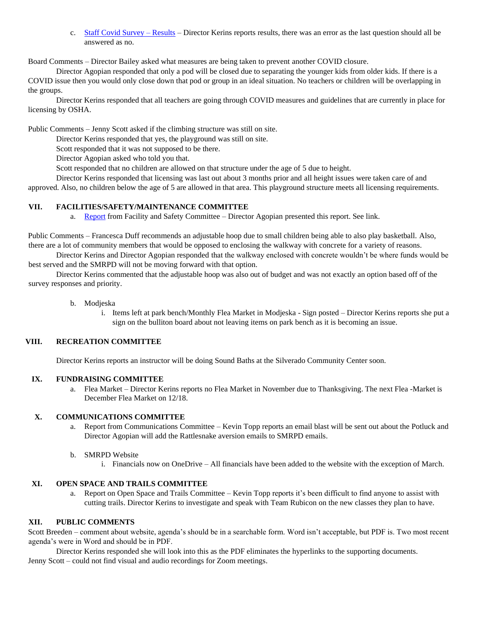c. [Staff Covid Survey](https://1drv.ms/b/s!An_OKisCbP0FlFul1yGmzb3vdDQK?e=zCv2r1) – Results – Director Kerins reports results, there was an error as the last question should all be answered as no.

Board Comments – Director Bailey asked what measures are being taken to prevent another COVID closure.

Director Agopian responded that only a pod will be closed due to separating the younger kids from older kids. If there is a COVID issue then you would only close down that pod or group in an ideal situation. No teachers or children will be overlapping in the groups.

Director Kerins responded that all teachers are going through COVID measures and guidelines that are currently in place for licensing by OSHA.

Public Comments – Jenny Scott asked if the climbing structure was still on site.

Director Kerins responded that yes, the playground was still on site.

Scott responded that it was not supposed to be there.

Director Agopian asked who told you that.

Scott responded that no children are allowed on that structure under the age of 5 due to height.

Director Kerins responded that licensing was last out about 3 months prior and all height issues were taken care of and

approved. Also, no children below the age of 5 are allowed in that area. This playground structure meets all licensing requirements.

#### **VII. FACILITIES/SAFETY/MAINTENANCE COMMITTEE**

a. [Report](https://onedrive.live.com/?cid=05FD6C022B2ACE7F&id=5FD6C022B2ACE7F%211823&parId=5FD6C022B2ACE7F%211795&o=OneUp) from Facility and Safety Committee – Director Agopian presented this report. See link.

Public Comments – Francesca Duff recommends an adjustable hoop due to small children being able to also play basketball. Also, there are a lot of community members that would be opposed to enclosing the walkway with concrete for a variety of reasons.

Director Kerins and Director Agopian responded that the walkway enclosed with concrete wouldn't be where funds would be best served and the SMRPD will not be moving forward with that option.

Director Kerins commented that the adjustable hoop was also out of budget and was not exactly an option based off of the survey responses and priority.

- b. Modjeska
	- i. Items left at park bench/Monthly Flea Market in Modjeska Sign posted Director Kerins reports she put a sign on the bulliton board about not leaving items on park bench as it is becoming an issue.

## **VIII. RECREATION COMMITTEE**

Director Kerins reports an instructor will be doing Sound Baths at the Silverado Community Center soon.

#### **IX. FUNDRAISING COMMITTEE**

a. Flea Market – Director Kerins reports no Flea Market in November due to Thanksgiving. The next Flea -Market is December Flea Market on 12/18.

#### **X. COMMUNICATIONS COMMITTEE**

- a. Report from Communications Committee Kevin Topp reports an email blast will be sent out about the Potluck and Director Agopian will add the Rattlesnake aversion emails to SMRPD emails.
- b. SMRPD Website
	- i. Financials now on OneDrive All financials have been added to the website with the exception of March.

#### **XI. OPEN SPACE AND TRAILS COMMITTEE**

a. Report on Open Space and Trails Committee – Kevin Topp reports it's been difficult to find anyone to assist with cutting trails. Director Kerins to investigate and speak with Team Rubicon on the new classes they plan to have.

#### **XII. PUBLIC COMMENTS**

Scott Breeden – comment about website, agenda's should be in a searchable form. Word isn't acceptable, but PDF is. Two most recent agenda's were in Word and should be in PDF.

Director Kerins responded she will look into this as the PDF eliminates the hyperlinks to the supporting documents. Jenny Scott – could not find visual and audio recordings for Zoom meetings.